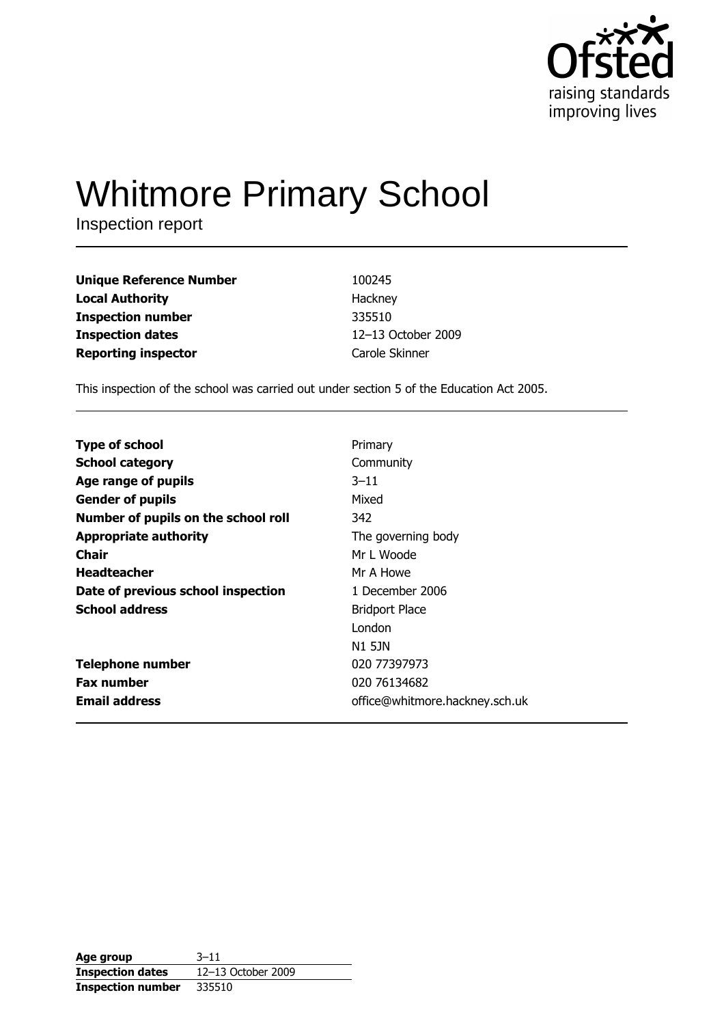

# **Whitmore Primary School**

Inspection report

| <b>Unique Reference Number</b> | 100245             |
|--------------------------------|--------------------|
| <b>Local Authority</b>         | Hackney            |
| <b>Inspection number</b>       | 335510             |
| <b>Inspection dates</b>        | 12-13 October 2009 |
| <b>Reporting inspector</b>     | Carole Skinner     |

This inspection of the school was carried out under section 5 of the Education Act 2005.

| <b>Type of school</b>               | Primary                        |
|-------------------------------------|--------------------------------|
| <b>School category</b>              | Community                      |
| Age range of pupils                 | $3 - 11$                       |
| <b>Gender of pupils</b>             | Mixed                          |
| Number of pupils on the school roll | 342                            |
| <b>Appropriate authority</b>        | The governing body             |
| Chair                               | Mr L Woode                     |
| <b>Headteacher</b>                  | Mr A Howe                      |
| Date of previous school inspection  | 1 December 2006                |
| <b>School address</b>               | <b>Bridport Place</b>          |
|                                     | London                         |
|                                     | N1 5JN                         |
| <b>Telephone number</b>             | 020 77397973                   |
| <b>Fax number</b>                   | 020 76134682                   |
| <b>Email address</b>                | office@whitmore.hackney.sch.uk |
|                                     |                                |

| Age group                | $3 - 11$           |
|--------------------------|--------------------|
| <b>Inspection dates</b>  | 12-13 October 2009 |
| <b>Inspection number</b> | 335510             |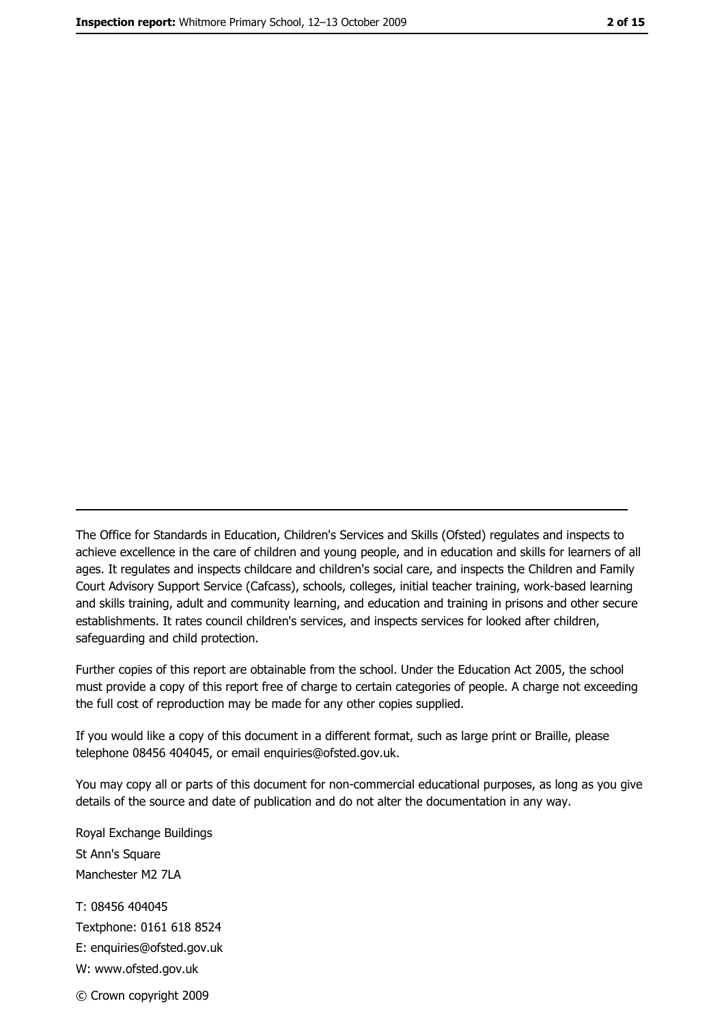The Office for Standards in Education, Children's Services and Skills (Ofsted) regulates and inspects to achieve excellence in the care of children and young people, and in education and skills for learners of all ages. It regulates and inspects childcare and children's social care, and inspects the Children and Family Court Advisory Support Service (Cafcass), schools, colleges, initial teacher training, work-based learning and skills training, adult and community learning, and education and training in prisons and other secure establishments. It rates council children's services, and inspects services for looked after children, safequarding and child protection.

Further copies of this report are obtainable from the school. Under the Education Act 2005, the school must provide a copy of this report free of charge to certain categories of people. A charge not exceeding the full cost of reproduction may be made for any other copies supplied.

If you would like a copy of this document in a different format, such as large print or Braille, please telephone 08456 404045, or email enquiries@ofsted.gov.uk.

You may copy all or parts of this document for non-commercial educational purposes, as long as you give details of the source and date of publication and do not alter the documentation in any way.

Royal Exchange Buildings St Ann's Square Manchester M2 7LA T: 08456 404045 Textphone: 0161 618 8524 E: enquiries@ofsted.gov.uk W: www.ofsted.gov.uk © Crown copyright 2009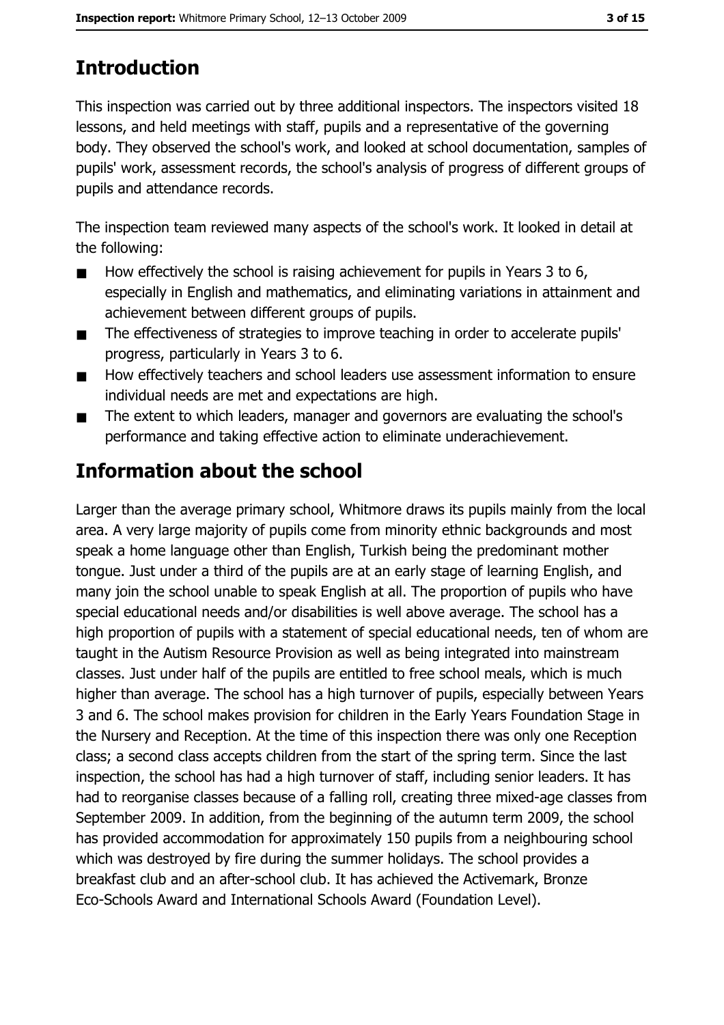# **Introduction**

This inspection was carried out by three additional inspectors. The inspectors visited 18 lessons, and held meetings with staff, pupils and a representative of the governing body. They observed the school's work, and looked at school documentation, samples of pupils' work, assessment records, the school's analysis of progress of different groups of pupils and attendance records.

The inspection team reviewed many aspects of the school's work. It looked in detail at the following:

- How effectively the school is raising achievement for pupils in Years 3 to 6,  $\blacksquare$ especially in English and mathematics, and eliminating variations in attainment and achievement between different groups of pupils.
- The effectiveness of strategies to improve teaching in order to accelerate pupils'  $\blacksquare$ progress, particularly in Years 3 to 6.
- How effectively teachers and school leaders use assessment information to ensure  $\blacksquare$ individual needs are met and expectations are high.
- The extent to which leaders, manager and governors are evaluating the school's  $\blacksquare$ performance and taking effective action to eliminate underachievement.

## **Information about the school**

Larger than the average primary school, Whitmore draws its pupils mainly from the local area. A very large majority of pupils come from minority ethnic backgrounds and most speak a home language other than English, Turkish being the predominant mother tongue. Just under a third of the pupils are at an early stage of learning English, and many join the school unable to speak English at all. The proportion of pupils who have special educational needs and/or disabilities is well above average. The school has a high proportion of pupils with a statement of special educational needs, ten of whom are taught in the Autism Resource Provision as well as being integrated into mainstream classes. Just under half of the pupils are entitled to free school meals, which is much higher than average. The school has a high turnover of pupils, especially between Years 3 and 6. The school makes provision for children in the Early Years Foundation Stage in the Nursery and Reception. At the time of this inspection there was only one Reception class; a second class accepts children from the start of the spring term. Since the last inspection, the school has had a high turnover of staff, including senior leaders. It has had to reorganise classes because of a falling roll, creating three mixed-age classes from September 2009. In addition, from the beginning of the autumn term 2009, the school has provided accommodation for approximately 150 pupils from a neighbouring school which was destroyed by fire during the summer holidays. The school provides a breakfast club and an after-school club. It has achieved the Activemark, Bronze Eco-Schools Award and International Schools Award (Foundation Level).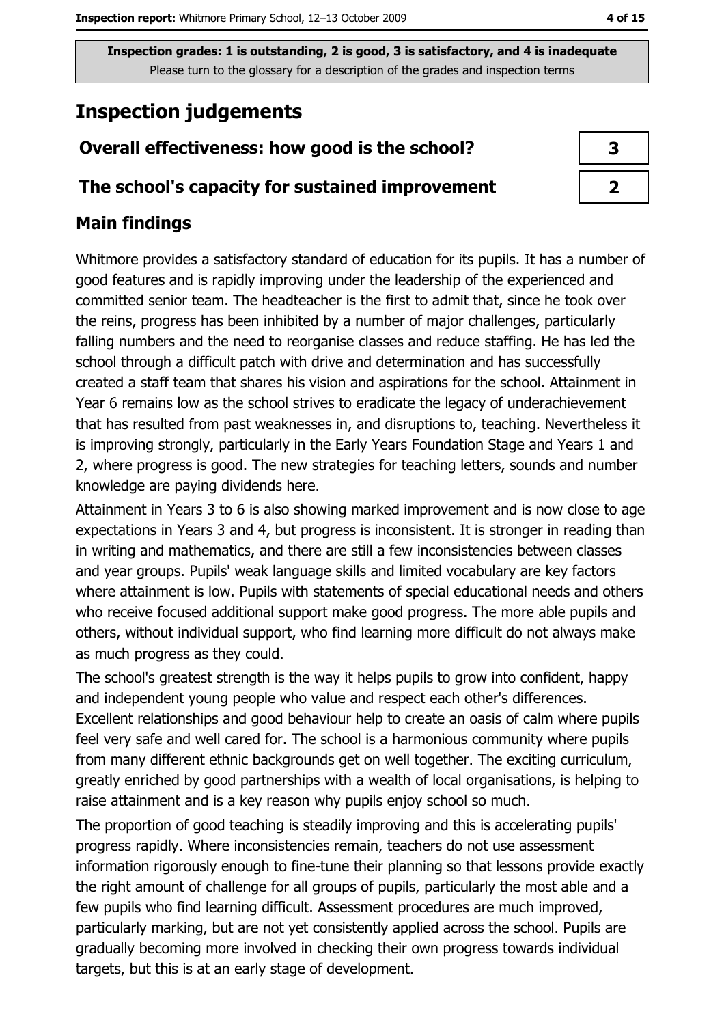## **Inspection judgements**

#### Overall effectiveness: how good is the school?

#### The school's capacity for sustained improvement

#### **Main findings**

Whitmore provides a satisfactory standard of education for its pupils. It has a number of good features and is rapidly improving under the leadership of the experienced and committed senior team. The headteacher is the first to admit that, since he took over the reins, progress has been inhibited by a number of major challenges, particularly falling numbers and the need to reorganise classes and reduce staffing. He has led the school through a difficult patch with drive and determination and has successfully created a staff team that shares his vision and aspirations for the school. Attainment in Year 6 remains low as the school strives to eradicate the legacy of underachievement that has resulted from past weaknesses in, and disruptions to, teaching. Nevertheless it is improving strongly, particularly in the Early Years Foundation Stage and Years 1 and 2, where progress is good. The new strategies for teaching letters, sounds and number knowledge are paying dividends here.

Attainment in Years 3 to 6 is also showing marked improvement and is now close to age expectations in Years 3 and 4, but progress is inconsistent. It is stronger in reading than in writing and mathematics, and there are still a few inconsistencies between classes and year groups. Pupils' weak language skills and limited vocabulary are key factors where attainment is low. Pupils with statements of special educational needs and others who receive focused additional support make good progress. The more able pupils and others, without individual support, who find learning more difficult do not always make as much progress as they could.

The school's greatest strength is the way it helps pupils to grow into confident, happy and independent young people who value and respect each other's differences. Excellent relationships and good behaviour help to create an oasis of calm where pupils feel very safe and well cared for. The school is a harmonious community where pupils from many different ethnic backgrounds get on well together. The exciting curriculum, greatly enriched by good partnerships with a wealth of local organisations, is helping to raise attainment and is a key reason why pupils enjoy school so much.

The proportion of good teaching is steadily improving and this is accelerating pupils' progress rapidly. Where inconsistencies remain, teachers do not use assessment information rigorously enough to fine-tune their planning so that lessons provide exactly the right amount of challenge for all groups of pupils, particularly the most able and a few pupils who find learning difficult. Assessment procedures are much improved, particularly marking, but are not yet consistently applied across the school. Pupils are gradually becoming more involved in checking their own progress towards individual targets, but this is at an early stage of development.

| 3 |  |
|---|--|
| 7 |  |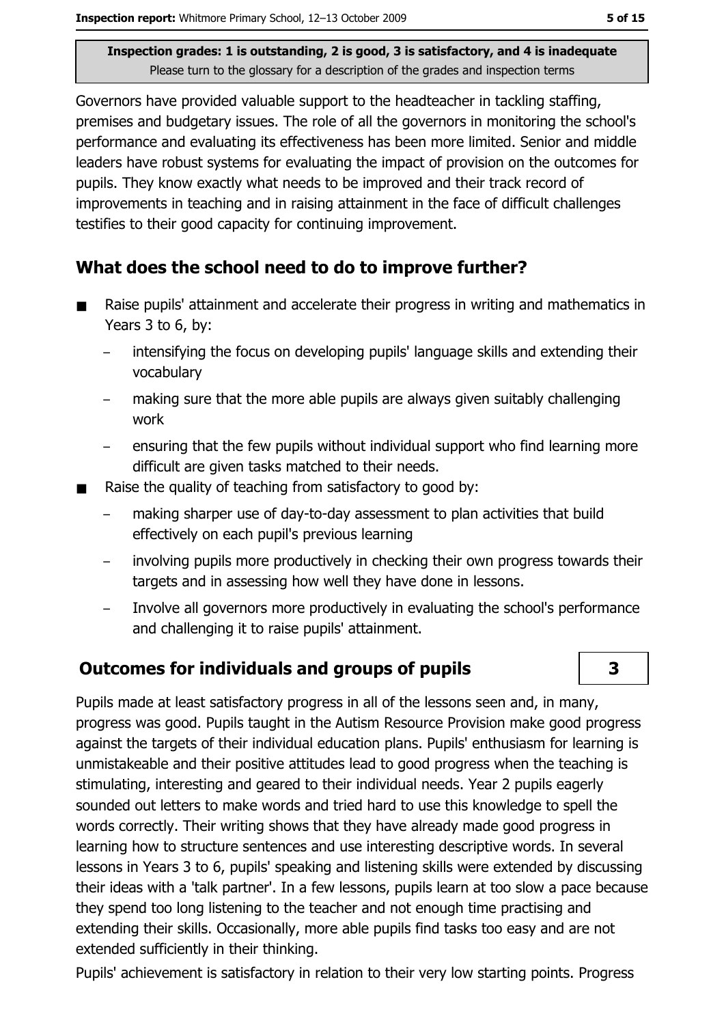Governors have provided valuable support to the headteacher in tackling staffing, premises and budgetary issues. The role of all the governors in monitoring the school's performance and evaluating its effectiveness has been more limited. Senior and middle leaders have robust systems for evaluating the impact of provision on the outcomes for pupils. They know exactly what needs to be improved and their track record of improvements in teaching and in raising attainment in the face of difficult challenges testifies to their good capacity for continuing improvement.

### What does the school need to do to improve further?

- Raise pupils' attainment and accelerate their progress in writing and mathematics in  $\blacksquare$ Years 3 to 6, by:
	- intensifying the focus on developing pupils' language skills and extending their vocabularv
	- making sure that the more able pupils are always given suitably challenging work
	- ensuring that the few pupils without individual support who find learning more  $\equiv$ difficult are given tasks matched to their needs.
- Raise the quality of teaching from satisfactory to good by:  $\blacksquare$ 
	- making sharper use of day-to-day assessment to plan activities that build effectively on each pupil's previous learning
	- involving pupils more productively in checking their own progress towards their targets and in assessing how well they have done in lessons.
	- Involve all governors more productively in evaluating the school's performance and challenging it to raise pupils' attainment.

## **Outcomes for individuals and groups of pupils**

Pupils made at least satisfactory progress in all of the lessons seen and, in many, progress was good. Pupils taught in the Autism Resource Provision make good progress against the targets of their individual education plans. Pupils' enthusiasm for learning is unmistakeable and their positive attitudes lead to good progress when the teaching is stimulating, interesting and geared to their individual needs. Year 2 pupils eagerly sounded out letters to make words and tried hard to use this knowledge to spell the words correctly. Their writing shows that they have already made good progress in learning how to structure sentences and use interesting descriptive words. In several lessons in Years 3 to 6, pupils' speaking and listening skills were extended by discussing their ideas with a 'talk partner'. In a few lessons, pupils learn at too slow a pace because they spend too long listening to the teacher and not enough time practising and extending their skills. Occasionally, more able pupils find tasks too easy and are not extended sufficiently in their thinking.

Pupils' achievement is satisfactory in relation to their very low starting points. Progress

3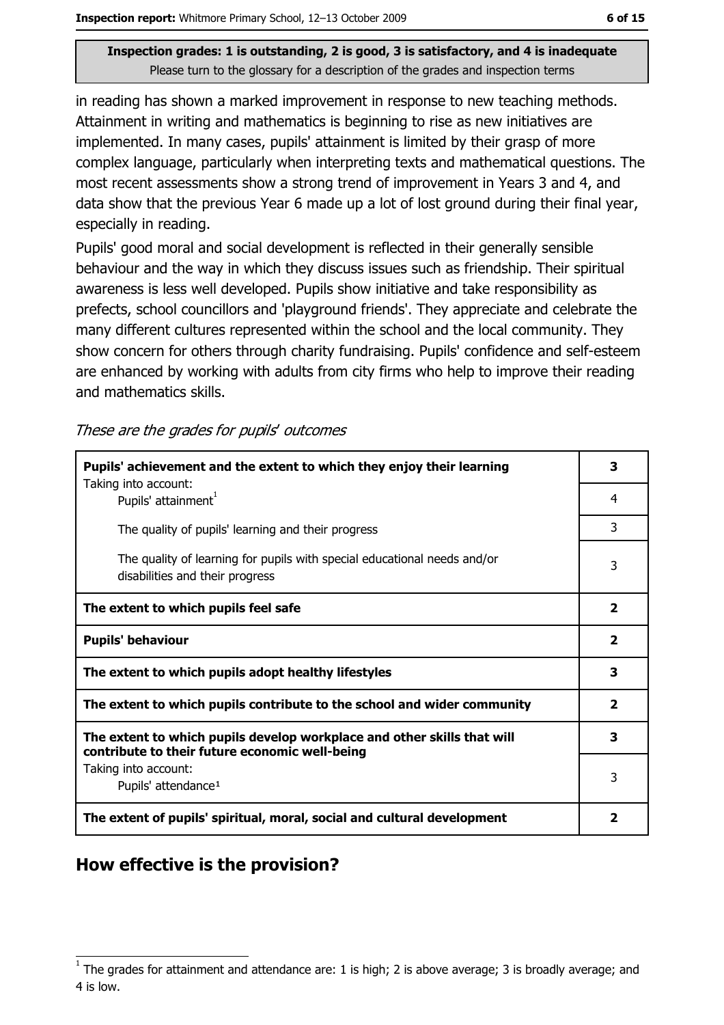in reading has shown a marked improvement in response to new teaching methods. Attainment in writing and mathematics is beginning to rise as new initiatives are implemented. In many cases, pupils' attainment is limited by their grasp of more complex language, particularly when interpreting texts and mathematical questions. The most recent assessments show a strong trend of improvement in Years 3 and 4, and data show that the previous Year 6 made up a lot of lost ground during their final year, especially in reading.

Pupils' good moral and social development is reflected in their generally sensible behaviour and the way in which they discuss issues such as friendship. Their spiritual awareness is less well developed. Pupils show initiative and take responsibility as prefects, school councillors and 'playground friends'. They appreciate and celebrate the many different cultures represented within the school and the local community. They show concern for others through charity fundraising. Pupils' confidence and self-esteem are enhanced by working with adults from city firms who help to improve their reading and mathematics skills.

These are the grades for pupils' outcomes

| Pupils' achievement and the extent to which they enjoy their learning                                                     |                |
|---------------------------------------------------------------------------------------------------------------------------|----------------|
| Taking into account:<br>Pupils' attainment <sup>1</sup>                                                                   | 4              |
| The quality of pupils' learning and their progress                                                                        | 3              |
| The quality of learning for pupils with special educational needs and/or<br>disabilities and their progress               | 3              |
| The extent to which pupils feel safe                                                                                      | $\overline{2}$ |
| <b>Pupils' behaviour</b>                                                                                                  |                |
| The extent to which pupils adopt healthy lifestyles                                                                       |                |
| The extent to which pupils contribute to the school and wider community                                                   |                |
| The extent to which pupils develop workplace and other skills that will<br>contribute to their future economic well-being |                |
| Taking into account:<br>Pupils' attendance <sup>1</sup>                                                                   | 3              |
| The extent of pupils' spiritual, moral, social and cultural development                                                   |                |

#### How effective is the provision?

The grades for attainment and attendance are: 1 is high; 2 is above average; 3 is broadly average; and 4 is low.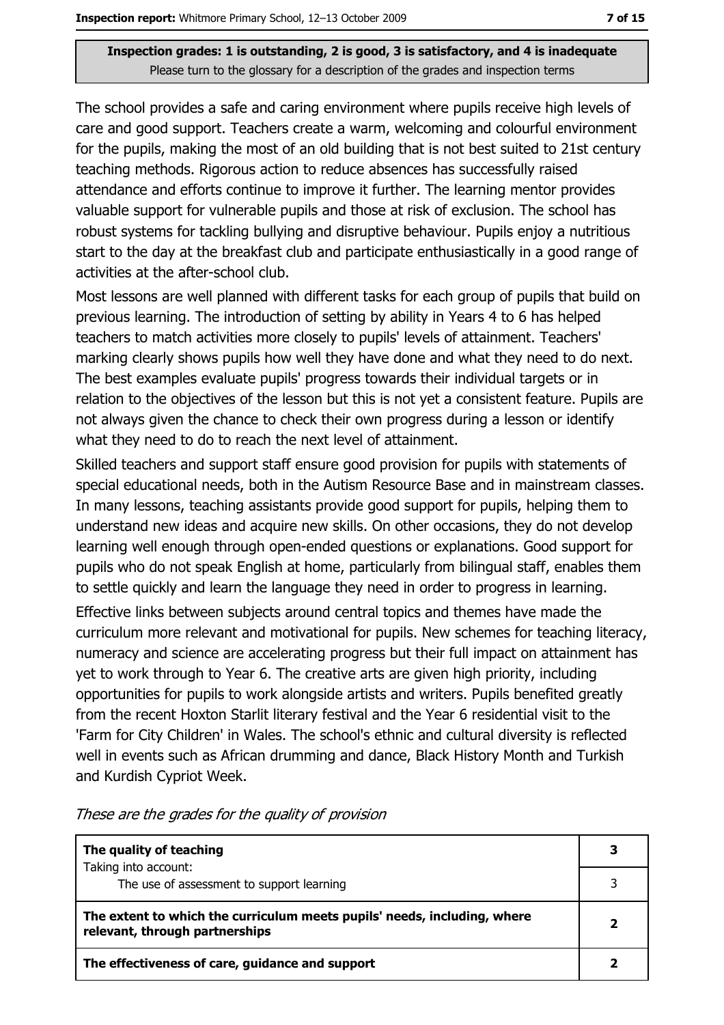The school provides a safe and caring environment where pupils receive high levels of care and good support. Teachers create a warm, welcoming and colourful environment for the pupils, making the most of an old building that is not best suited to 21st century teaching methods. Rigorous action to reduce absences has successfully raised attendance and efforts continue to improve it further. The learning mentor provides valuable support for vulnerable pupils and those at risk of exclusion. The school has robust systems for tackling bullying and disruptive behaviour. Pupils enjoy a nutritious start to the day at the breakfast club and participate enthusiastically in a good range of activities at the after-school club.

Most lessons are well planned with different tasks for each group of pupils that build on previous learning. The introduction of setting by ability in Years 4 to 6 has helped teachers to match activities more closely to pupils' levels of attainment. Teachers' marking clearly shows pupils how well they have done and what they need to do next. The best examples evaluate pupils' progress towards their individual targets or in relation to the objectives of the lesson but this is not yet a consistent feature. Pupils are not always given the chance to check their own progress during a lesson or identify what they need to do to reach the next level of attainment.

Skilled teachers and support staff ensure good provision for pupils with statements of special educational needs, both in the Autism Resource Base and in mainstream classes. In many lessons, teaching assistants provide good support for pupils, helping them to understand new ideas and acquire new skills. On other occasions, they do not develop learning well enough through open-ended questions or explanations. Good support for pupils who do not speak English at home, particularly from bilingual staff, enables them to settle quickly and learn the language they need in order to progress in learning.

Effective links between subjects around central topics and themes have made the curriculum more relevant and motivational for pupils. New schemes for teaching literacy, numeracy and science are accelerating progress but their full impact on attainment has yet to work through to Year 6. The creative arts are given high priority, including opportunities for pupils to work alongside artists and writers. Pupils benefited greatly from the recent Hoxton Starlit literary festival and the Year 6 residential visit to the 'Farm for City Children' in Wales. The school's ethnic and cultural diversity is reflected well in events such as African drumming and dance, Black History Month and Turkish and Kurdish Cypriot Week.

| The quality of teaching                                                                                    |  |
|------------------------------------------------------------------------------------------------------------|--|
| Taking into account:                                                                                       |  |
| The use of assessment to support learning                                                                  |  |
| The extent to which the curriculum meets pupils' needs, including, where<br>relevant, through partnerships |  |
| The effectiveness of care, guidance and support                                                            |  |

These are the grades for the quality of provision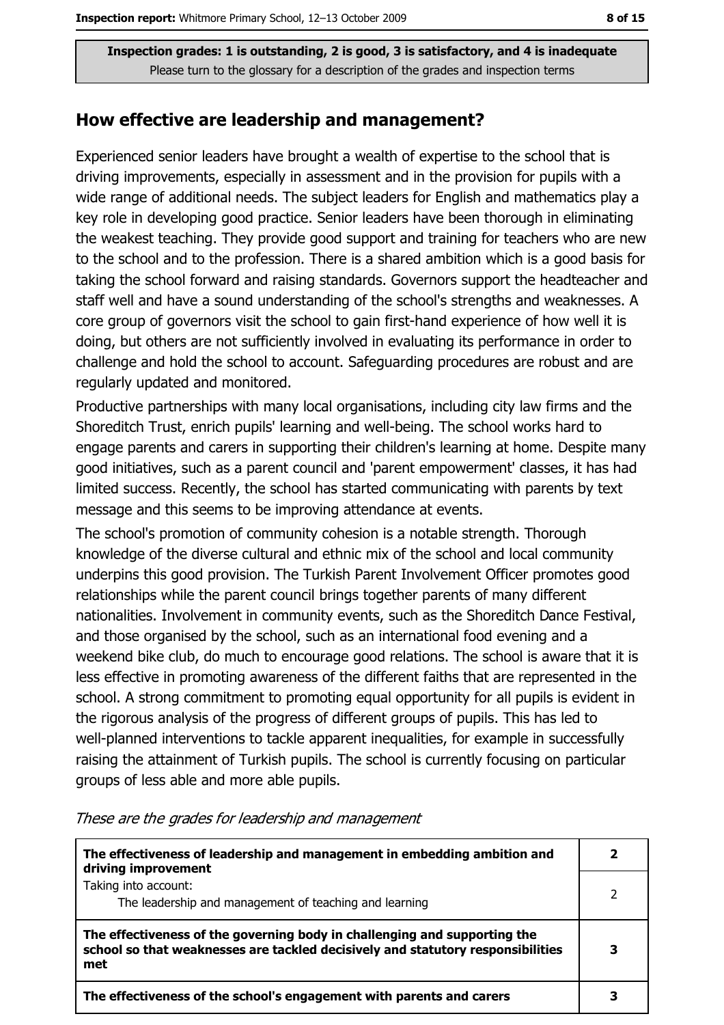#### How effective are leadership and management?

Experienced senior leaders have brought a wealth of expertise to the school that is driving improvements, especially in assessment and in the provision for pupils with a wide range of additional needs. The subject leaders for English and mathematics play a key role in developing good practice. Senior leaders have been thorough in eliminating the weakest teaching. They provide good support and training for teachers who are new to the school and to the profession. There is a shared ambition which is a good basis for taking the school forward and raising standards. Governors support the headteacher and staff well and have a sound understanding of the school's strengths and weaknesses. A core group of governors visit the school to gain first-hand experience of how well it is doing, but others are not sufficiently involved in evaluating its performance in order to challenge and hold the school to account. Safeguarding procedures are robust and are regularly updated and monitored.

Productive partnerships with many local organisations, including city law firms and the Shoreditch Trust, enrich pupils' learning and well-being. The school works hard to engage parents and carers in supporting their children's learning at home. Despite many good initiatives, such as a parent council and 'parent empowerment' classes, it has had limited success. Recently, the school has started communicating with parents by text message and this seems to be improving attendance at events.

The school's promotion of community cohesion is a notable strength. Thorough knowledge of the diverse cultural and ethnic mix of the school and local community underpins this good provision. The Turkish Parent Involvement Officer promotes good relationships while the parent council brings together parents of many different nationalities. Involvement in community events, such as the Shoreditch Dance Festival, and those organised by the school, such as an international food evening and a weekend bike club, do much to encourage good relations. The school is aware that it is less effective in promoting awareness of the different faiths that are represented in the school. A strong commitment to promoting equal opportunity for all pupils is evident in the rigorous analysis of the progress of different groups of pupils. This has led to well-planned interventions to tackle apparent inequalities, for example in successfully raising the attainment of Turkish pupils. The school is currently focusing on particular groups of less able and more able pupils.

These are the grades for leadership and management

| The effectiveness of leadership and management in embedding ambition and<br>driving improvement                                                                     |  |
|---------------------------------------------------------------------------------------------------------------------------------------------------------------------|--|
| Taking into account:<br>The leadership and management of teaching and learning                                                                                      |  |
| The effectiveness of the governing body in challenging and supporting the<br>school so that weaknesses are tackled decisively and statutory responsibilities<br>met |  |
| The effectiveness of the school's engagement with parents and carers                                                                                                |  |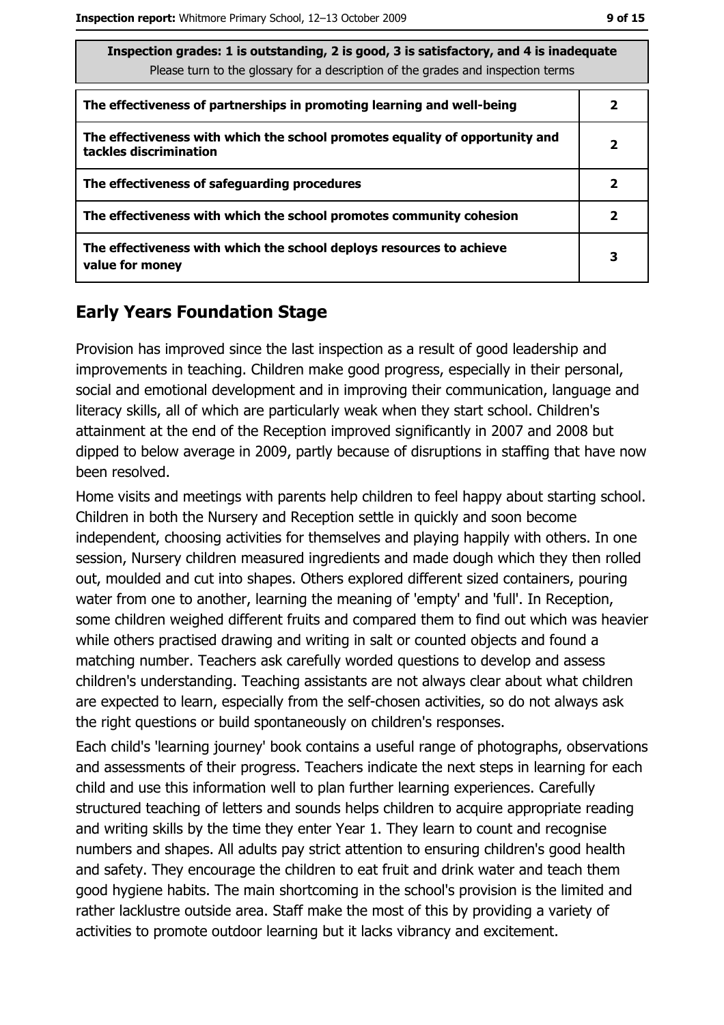| Inspection grades: 1 is outstanding, 2 is good, 3 is satisfactory, and 4 is inadequate<br>Please turn to the glossary for a description of the grades and inspection terms |   |  |
|----------------------------------------------------------------------------------------------------------------------------------------------------------------------------|---|--|
| The effectiveness of partnerships in promoting learning and well-being                                                                                                     | 2 |  |
| The effectiveness with which the school promotes equality of opportunity and<br>tackles discrimination                                                                     | 2 |  |
| The effectiveness of safeguarding procedures                                                                                                                               | 2 |  |
| The effectiveness with which the school promotes community cohesion                                                                                                        | 2 |  |
| The effectiveness with which the school deploys resources to achieve<br>value for money                                                                                    | 3 |  |

### **Early Years Foundation Stage**

Provision has improved since the last inspection as a result of good leadership and improvements in teaching. Children make good progress, especially in their personal, social and emotional development and in improving their communication, language and literacy skills, all of which are particularly weak when they start school. Children's attainment at the end of the Reception improved significantly in 2007 and 2008 but dipped to below average in 2009, partly because of disruptions in staffing that have now been resolved.

Home visits and meetings with parents help children to feel happy about starting school. Children in both the Nursery and Reception settle in quickly and soon become independent, choosing activities for themselves and playing happily with others. In one session, Nursery children measured ingredients and made dough which they then rolled out, moulded and cut into shapes. Others explored different sized containers, pouring water from one to another, learning the meaning of 'empty' and 'full'. In Reception, some children weighed different fruits and compared them to find out which was heavier while others practised drawing and writing in salt or counted objects and found a matching number. Teachers ask carefully worded questions to develop and assess children's understanding. Teaching assistants are not always clear about what children are expected to learn, especially from the self-chosen activities, so do not always ask the right questions or build spontaneously on children's responses.

Each child's 'learning journey' book contains a useful range of photographs, observations and assessments of their progress. Teachers indicate the next steps in learning for each child and use this information well to plan further learning experiences. Carefully structured teaching of letters and sounds helps children to acquire appropriate reading and writing skills by the time they enter Year 1. They learn to count and recognise numbers and shapes. All adults pay strict attention to ensuring children's good health and safety. They encourage the children to eat fruit and drink water and teach them good hygiene habits. The main shortcoming in the school's provision is the limited and rather lacklustre outside area. Staff make the most of this by providing a variety of activities to promote outdoor learning but it lacks vibrancy and excitement.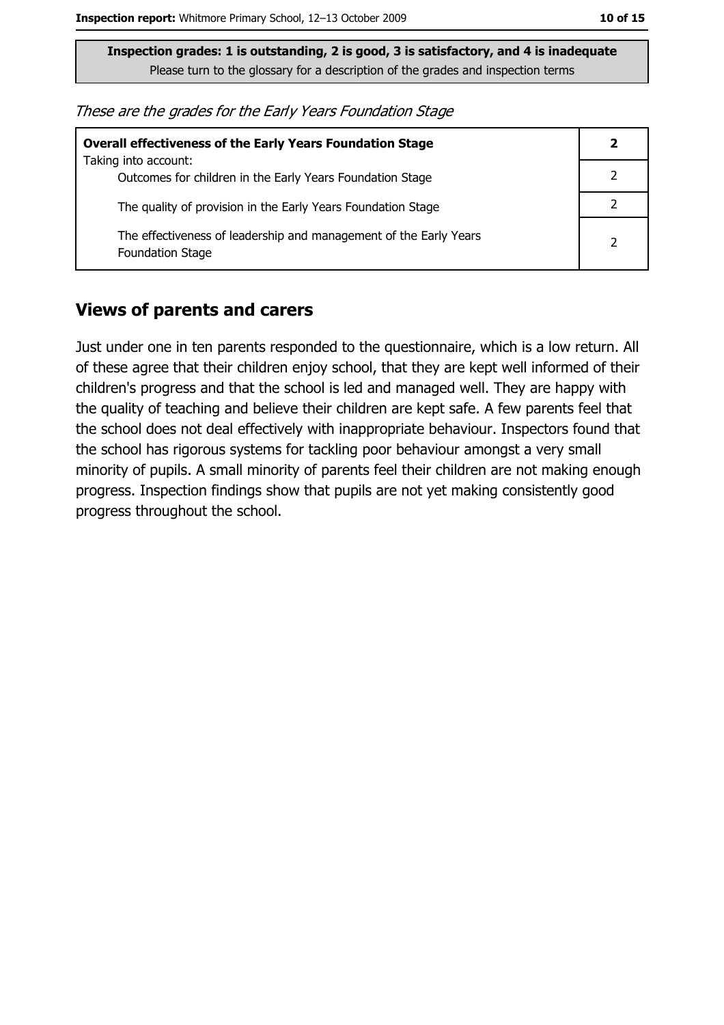| <b>Overall effectiveness of the Early Years Foundation Stage</b>                             |  |
|----------------------------------------------------------------------------------------------|--|
| Taking into account:<br>Outcomes for children in the Early Years Foundation Stage            |  |
| The quality of provision in the Early Years Foundation Stage                                 |  |
| The effectiveness of leadership and management of the Early Years<br><b>Foundation Stage</b> |  |

#### **Views of parents and carers**

Just under one in ten parents responded to the questionnaire, which is a low return. All of these agree that their children enjoy school, that they are kept well informed of their children's progress and that the school is led and managed well. They are happy with the quality of teaching and believe their children are kept safe. A few parents feel that the school does not deal effectively with inappropriate behaviour. Inspectors found that the school has rigorous systems for tackling poor behaviour amongst a very small minority of pupils. A small minority of parents feel their children are not making enough progress. Inspection findings show that pupils are not yet making consistently good progress throughout the school.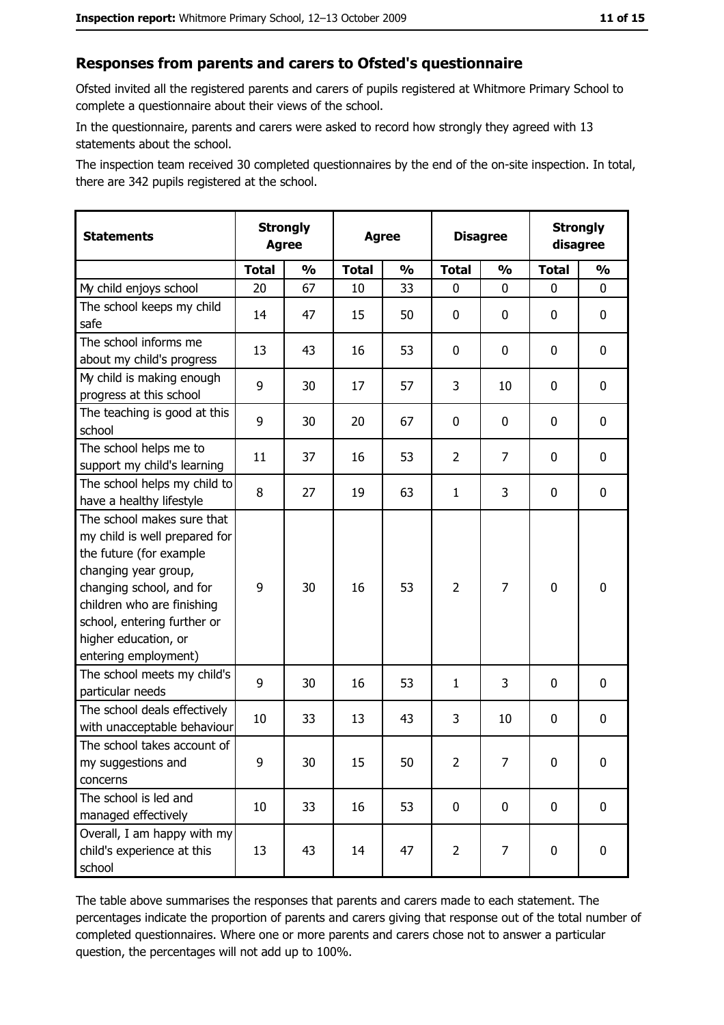#### Responses from parents and carers to Ofsted's questionnaire

Ofsted invited all the registered parents and carers of pupils registered at Whitmore Primary School to complete a questionnaire about their views of the school.

In the questionnaire, parents and carers were asked to record how strongly they agreed with 13 statements about the school.

The inspection team received 30 completed questionnaires by the end of the on-site inspection. In total, there are 342 pupils registered at the school.

| <b>Statements</b>                                                                                                                                                                                                                                       | <b>Strongly</b><br><b>Agree</b> |               | <b>Agree</b> |                         |                | <b>Disagree</b> |              | <b>Strongly</b><br>disagree |
|---------------------------------------------------------------------------------------------------------------------------------------------------------------------------------------------------------------------------------------------------------|---------------------------------|---------------|--------------|-------------------------|----------------|-----------------|--------------|-----------------------------|
|                                                                                                                                                                                                                                                         | <b>Total</b>                    | $\frac{1}{2}$ | <b>Total</b> | $\mathbf{O}/\mathbf{O}$ | <b>Total</b>   | $\frac{1}{2}$   | <b>Total</b> | $\frac{1}{2}$               |
| My child enjoys school                                                                                                                                                                                                                                  | 20                              | 67            | 10           | 33                      | 0              | 0               | 0            | 0                           |
| The school keeps my child<br>safe                                                                                                                                                                                                                       | 14                              | 47            | 15           | 50                      | 0              | 0               | 0            | $\mathbf 0$                 |
| The school informs me<br>about my child's progress                                                                                                                                                                                                      | 13                              | 43            | 16           | 53                      | 0              | 0               | 0            | 0                           |
| My child is making enough<br>progress at this school                                                                                                                                                                                                    | 9                               | 30            | 17           | 57                      | 3              | 10              | 0            | 0                           |
| The teaching is good at this<br>school                                                                                                                                                                                                                  | 9                               | 30            | 20           | 67                      | 0              | 0               | 0            | 0                           |
| The school helps me to<br>support my child's learning                                                                                                                                                                                                   | 11                              | 37            | 16           | 53                      | $\overline{2}$ | 7               | 0            | 0                           |
| The school helps my child to<br>have a healthy lifestyle                                                                                                                                                                                                | 8                               | 27            | 19           | 63                      | $\mathbf{1}$   | 3               | 0            | 0                           |
| The school makes sure that<br>my child is well prepared for<br>the future (for example<br>changing year group,<br>changing school, and for<br>children who are finishing<br>school, entering further or<br>higher education, or<br>entering employment) | 9                               | 30            | 16           | 53                      | $\overline{2}$ | $\overline{7}$  | $\mathbf 0$  | 0                           |
| The school meets my child's<br>particular needs                                                                                                                                                                                                         | 9                               | 30            | 16           | 53                      | $\mathbf{1}$   | 3               | 0            | 0                           |
| The school deals effectively<br>with unacceptable behaviour                                                                                                                                                                                             | 10                              | 33            | 13           | 43                      | 3              | 10              | 0            | $\mathbf 0$                 |
| The school takes account of<br>my suggestions and<br>concerns                                                                                                                                                                                           | 9                               | 30            | 15           | 50                      | $\overline{2}$ | 7               | 0            | 0                           |
| The school is led and<br>managed effectively                                                                                                                                                                                                            | 10                              | 33            | 16           | 53                      | 0              | 0               | $\bf{0}$     | $\mathbf 0$                 |
| Overall, I am happy with my<br>child's experience at this<br>school                                                                                                                                                                                     | 13                              | 43            | 14           | 47                      | $\overline{2}$ | 7               | $\mathbf 0$  | $\mathbf 0$                 |

The table above summarises the responses that parents and carers made to each statement. The percentages indicate the proportion of parents and carers giving that response out of the total number of completed questionnaires. Where one or more parents and carers chose not to answer a particular question, the percentages will not add up to 100%.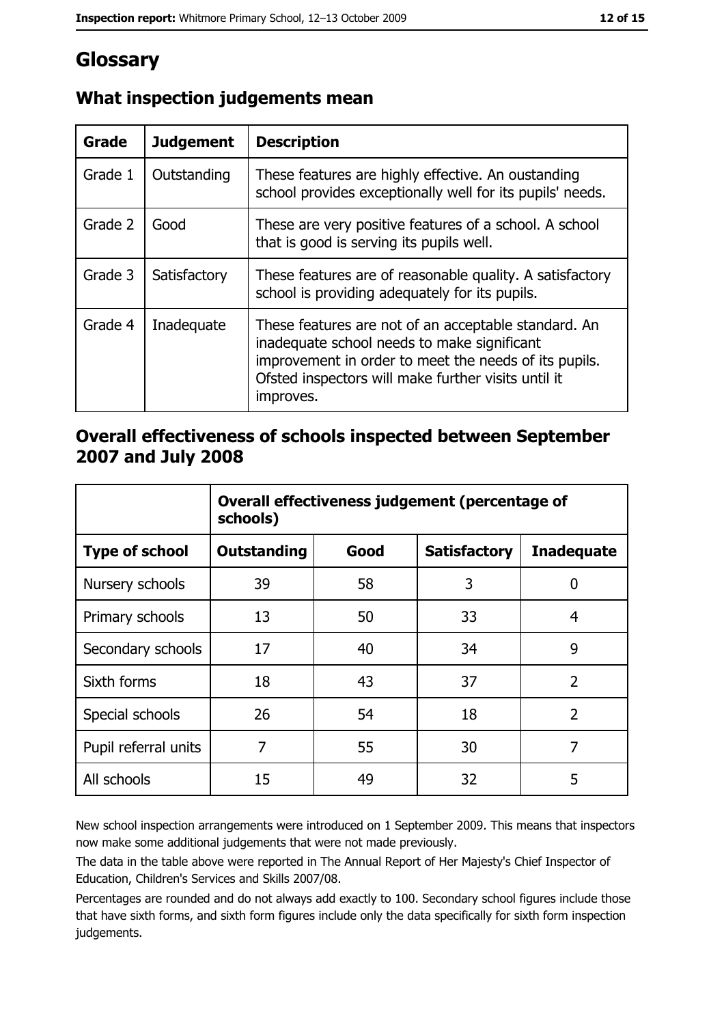# **Glossary**

| Grade   | <b>Judgement</b> | <b>Description</b>                                                                                                                                                                                                               |
|---------|------------------|----------------------------------------------------------------------------------------------------------------------------------------------------------------------------------------------------------------------------------|
| Grade 1 | Outstanding      | These features are highly effective. An oustanding<br>school provides exceptionally well for its pupils' needs.                                                                                                                  |
| Grade 2 | Good             | These are very positive features of a school. A school<br>that is good is serving its pupils well.                                                                                                                               |
| Grade 3 | Satisfactory     | These features are of reasonable quality. A satisfactory<br>school is providing adequately for its pupils.                                                                                                                       |
| Grade 4 | Inadequate       | These features are not of an acceptable standard. An<br>inadequate school needs to make significant<br>improvement in order to meet the needs of its pupils.<br>Ofsted inspectors will make further visits until it<br>improves. |

## What inspection judgements mean

## Overall effectiveness of schools inspected between September 2007 and July 2008

|                       | Overall effectiveness judgement (percentage of<br>schools) |      |                     |                   |
|-----------------------|------------------------------------------------------------|------|---------------------|-------------------|
| <b>Type of school</b> | <b>Outstanding</b>                                         | Good | <b>Satisfactory</b> | <b>Inadequate</b> |
| Nursery schools       | 39                                                         | 58   | 3                   | 0                 |
| Primary schools       | 13                                                         | 50   | 33                  | 4                 |
| Secondary schools     | 17                                                         | 40   | 34                  | 9                 |
| Sixth forms           | 18                                                         | 43   | 37                  | $\overline{2}$    |
| Special schools       | 26                                                         | 54   | 18                  | $\overline{2}$    |
| Pupil referral units  | 7                                                          | 55   | 30                  | 7                 |
| All schools           | 15                                                         | 49   | 32                  | 5                 |

New school inspection arrangements were introduced on 1 September 2009. This means that inspectors now make some additional judgements that were not made previously.

The data in the table above were reported in The Annual Report of Her Majesty's Chief Inspector of Education, Children's Services and Skills 2007/08.

Percentages are rounded and do not always add exactly to 100. Secondary school figures include those that have sixth forms, and sixth form figures include only the data specifically for sixth form inspection judgements.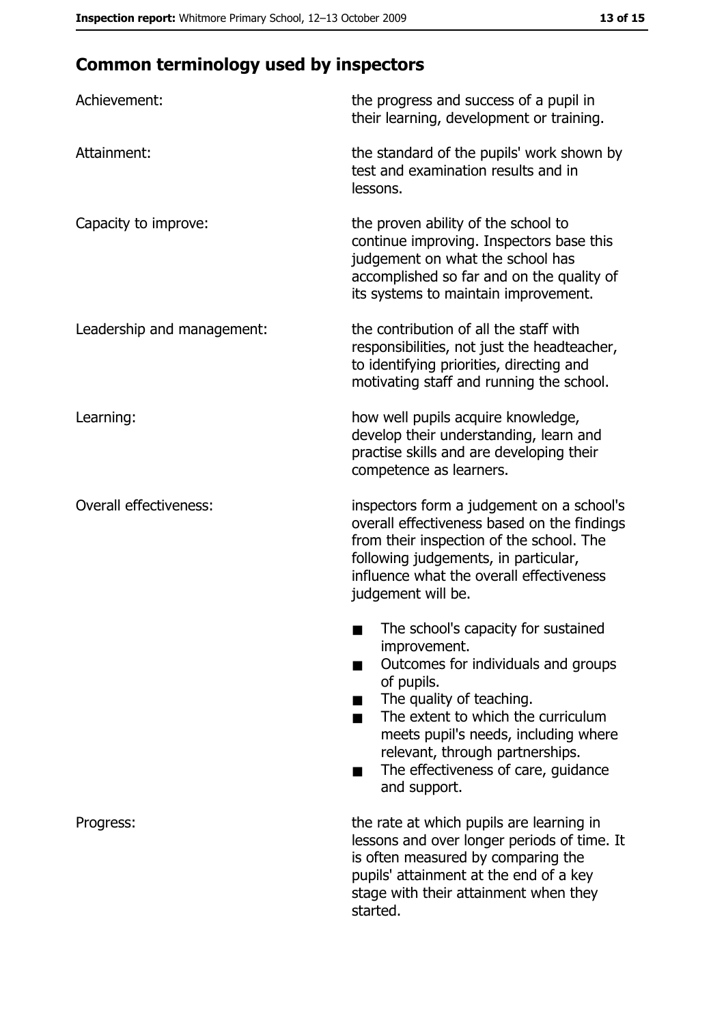# **Common terminology used by inspectors**

| Achievement:                  | the progress and success of a pupil in<br>their learning, development or training.                                                                                                                                                                                                                           |  |
|-------------------------------|--------------------------------------------------------------------------------------------------------------------------------------------------------------------------------------------------------------------------------------------------------------------------------------------------------------|--|
| Attainment:                   | the standard of the pupils' work shown by<br>test and examination results and in<br>lessons.                                                                                                                                                                                                                 |  |
| Capacity to improve:          | the proven ability of the school to<br>continue improving. Inspectors base this<br>judgement on what the school has<br>accomplished so far and on the quality of<br>its systems to maintain improvement.                                                                                                     |  |
| Leadership and management:    | the contribution of all the staff with<br>responsibilities, not just the headteacher,<br>to identifying priorities, directing and<br>motivating staff and running the school.                                                                                                                                |  |
| Learning:                     | how well pupils acquire knowledge,<br>develop their understanding, learn and<br>practise skills and are developing their<br>competence as learners.                                                                                                                                                          |  |
| <b>Overall effectiveness:</b> | inspectors form a judgement on a school's<br>overall effectiveness based on the findings<br>from their inspection of the school. The<br>following judgements, in particular,<br>influence what the overall effectiveness<br>judgement will be.                                                               |  |
|                               | The school's capacity for sustained<br>improvement.<br>Outcomes for individuals and groups<br>of pupils.<br>The quality of teaching.<br>The extent to which the curriculum<br>meets pupil's needs, including where<br>relevant, through partnerships.<br>The effectiveness of care, guidance<br>and support. |  |
| Progress:                     | the rate at which pupils are learning in<br>lessons and over longer periods of time. It<br>is often measured by comparing the<br>pupils' attainment at the end of a key<br>stage with their attainment when they<br>started.                                                                                 |  |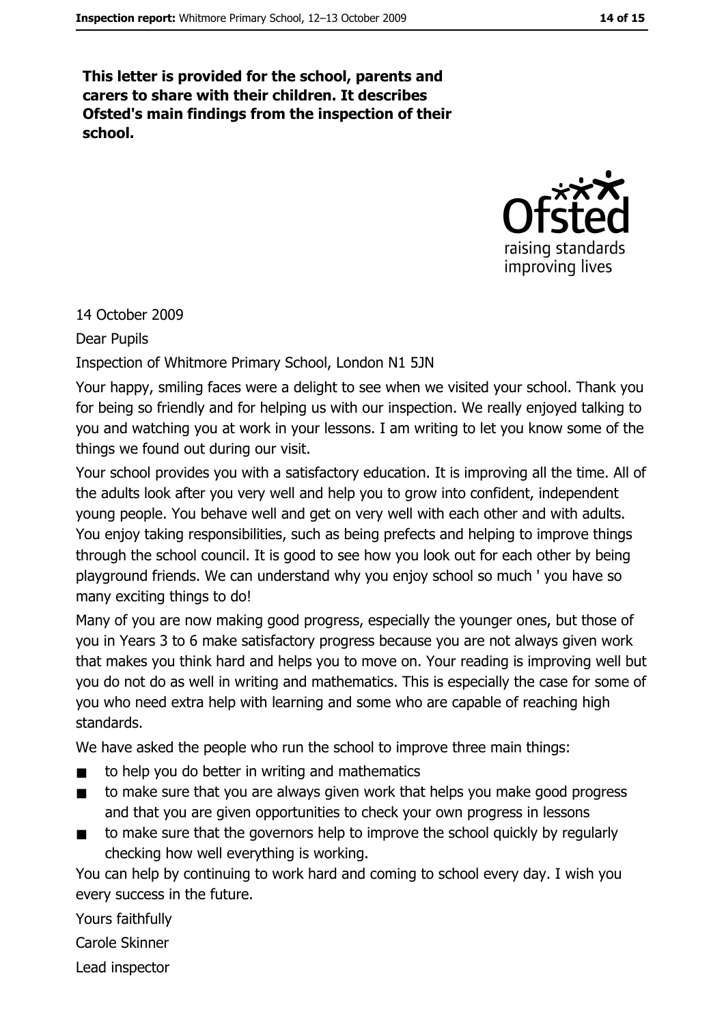This letter is provided for the school, parents and carers to share with their children. It describes Ofsted's main findings from the inspection of their school.



14 October 2009

**Dear Pupils** 

Inspection of Whitmore Primary School, London N1 5JN

Your happy, smiling faces were a delight to see when we visited your school. Thank you for being so friendly and for helping us with our inspection. We really enjoyed talking to you and watching you at work in your lessons. I am writing to let you know some of the things we found out during our visit.

Your school provides you with a satisfactory education. It is improving all the time. All of the adults look after you very well and help you to grow into confident, independent young people. You behave well and get on very well with each other and with adults. You enjoy taking responsibilities, such as being prefects and helping to improve things through the school council. It is good to see how you look out for each other by being playground friends. We can understand why you enjoy school so much 'you have so many exciting things to do!

Many of you are now making good progress, especially the younger ones, but those of you in Years 3 to 6 make satisfactory progress because you are not always given work that makes you think hard and helps you to move on. Your reading is improving well but you do not do as well in writing and mathematics. This is especially the case for some of you who need extra help with learning and some who are capable of reaching high standards.

We have asked the people who run the school to improve three main things:

- to help you do better in writing and mathematics  $\blacksquare$
- to make sure that you are always given work that helps you make good progress  $\blacksquare$ and that you are given opportunities to check your own progress in lessons
- to make sure that the governors help to improve the school quickly by regularly  $\blacksquare$ checking how well everything is working.

You can help by continuing to work hard and coming to school every day. I wish you every success in the future.

Yours faithfully

Carole Skinner

Lead inspector